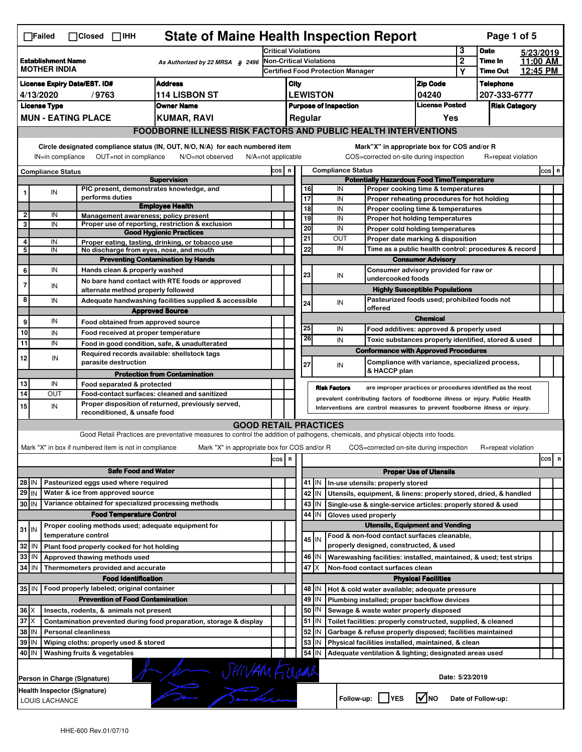|                                                                                     | <b>State of Maine Health Inspection Report</b><br>Page 1 of 5<br>$\Box$ Failed<br>$\Box$ Closed $\Box$ IHH |                                                                            |                                                                                                                                   |                                   |                                                       |                                                                                       |    |                          |                                                                                                    |                               |                 |                    |          |                                 |  |
|-------------------------------------------------------------------------------------|------------------------------------------------------------------------------------------------------------|----------------------------------------------------------------------------|-----------------------------------------------------------------------------------------------------------------------------------|-----------------------------------|-------------------------------------------------------|---------------------------------------------------------------------------------------|----|--------------------------|----------------------------------------------------------------------------------------------------|-------------------------------|-----------------|--------------------|----------|---------------------------------|--|
|                                                                                     |                                                                                                            |                                                                            |                                                                                                                                   |                                   | Critical Violations                                   |                                                                                       |    |                          |                                                                                                    |                               | 3               | <b>Date</b>        |          | 5/23/2019                       |  |
| <b>Establishment Name</b><br>As Authorized by 22 MRSA & 2496<br><b>MOTHER INDIA</b> |                                                                                                            |                                                                            |                                                                                                                                   | <b>Non-Critical Violations</b>    |                                                       |                                                                                       |    |                          |                                                                                                    | $\overline{2}$                | Time In         |                    | 11:00 AM |                                 |  |
|                                                                                     |                                                                                                            |                                                                            |                                                                                                                                   | Certified Food Protection Manager |                                                       |                                                                                       |    |                          | Y                                                                                                  | <b>Time Out</b>               |                 | 12:45 PM           |          |                                 |  |
|                                                                                     | <b>Address</b><br><b>License Expiry Date/EST. ID#</b>                                                      |                                                                            |                                                                                                                                   |                                   |                                                       |                                                                                       |    |                          |                                                                                                    | <b>Zip Code</b>               |                 | <b>Telephone</b>   |          |                                 |  |
|                                                                                     | <b>114 LISBON ST</b><br>4/13/2020<br>/9763                                                                 |                                                                            |                                                                                                                                   |                                   |                                                       | <b>LEWISTON</b><br>04240                                                              |    |                          |                                                                                                    |                               | 207-333-6777    |                    |          |                                 |  |
|                                                                                     | <b>License Type</b>                                                                                        |                                                                            | <b>Owner Name</b>                                                                                                                 |                                   | <b>License Posted</b><br><b>Purpose of Inspection</b> |                                                                                       |    |                          |                                                                                                    | <b>Risk Category</b>          |                 |                    |          |                                 |  |
|                                                                                     |                                                                                                            | <b>MUN - EATING PLACE</b>                                                  | <b>KUMAR, RAVI</b>                                                                                                                |                                   |                                                       | Regular                                                                               |    |                          |                                                                                                    | Yes                           |                 |                    |          |                                 |  |
|                                                                                     |                                                                                                            |                                                                            | <b>FOODBORNE ILLNESS RISK FACTORS AND PUBLIC HEALTH INTERVENTIONS</b>                                                             |                                   |                                                       |                                                                                       |    |                          |                                                                                                    |                               |                 |                    |          |                                 |  |
|                                                                                     |                                                                                                            |                                                                            | Circle designated compliance status (IN, OUT, N/O, N/A) for each numbered item                                                    |                                   |                                                       |                                                                                       |    |                          | Mark"X" in appropriate box for COS and/or R                                                        |                               |                 |                    |          |                                 |  |
|                                                                                     | OUT=not in compliance<br>IN=in compliance<br>N/O=not observed<br>$N/A = not$ applicable                    |                                                                            |                                                                                                                                   |                                   |                                                       |                                                                                       |    |                          | COS=corrected on-site during inspection                                                            |                               |                 | R=repeat violation |          |                                 |  |
|                                                                                     |                                                                                                            |                                                                            |                                                                                                                                   | COS R                             |                                                       |                                                                                       |    | <b>Compliance Status</b> |                                                                                                    |                               |                 |                    |          | $cos$ R                         |  |
| <b>Compliance Status</b><br><b>Supervision</b>                                      |                                                                                                            |                                                                            |                                                                                                                                   |                                   |                                                       |                                                                                       |    |                          | <b>Potentially Hazardous Food Time/Temperature</b>                                                 |                               |                 |                    |          |                                 |  |
| 1                                                                                   | IN                                                                                                         | PIC present, demonstrates knowledge, and                                   |                                                                                                                                   |                                   |                                                       | 16                                                                                    |    | IN                       | Proper cooking time & temperatures                                                                 |                               |                 |                    |          |                                 |  |
|                                                                                     |                                                                                                            | performs duties                                                            | <b>Employee Health</b>                                                                                                            |                                   |                                                       | $\overline{17}$                                                                       |    | IN                       | Proper reheating procedures for hot holding                                                        |                               |                 |                    |          |                                 |  |
| 2                                                                                   | IN                                                                                                         | Management awareness: policy present                                       |                                                                                                                                   |                                   |                                                       | 18                                                                                    |    | IN                       | Proper cooling time & temperatures                                                                 |                               |                 |                    |          |                                 |  |
| 3                                                                                   | IN                                                                                                         |                                                                            | Proper use of reporting, restriction & exclusion                                                                                  |                                   |                                                       | 19<br>$\overline{20}$                                                                 |    | IN<br>IN                 | Proper hot holding temperatures                                                                    |                               |                 |                    |          |                                 |  |
|                                                                                     |                                                                                                            |                                                                            | <b>Good Hygienic Practices</b>                                                                                                    |                                   |                                                       | 21                                                                                    |    | OUT                      | Proper cold holding temperatures<br>Proper date marking & disposition                              |                               |                 |                    |          |                                 |  |
| 4<br>5                                                                              | IN<br>IN                                                                                                   | No discharge from eyes, nose, and mouth                                    | Proper eating, tasting, drinking, or tobacco use                                                                                  |                                   |                                                       | 22                                                                                    |    | IN                       |                                                                                                    |                               |                 |                    |          |                                 |  |
|                                                                                     |                                                                                                            |                                                                            | <b>Preventing Contamination by Hands</b>                                                                                          |                                   |                                                       |                                                                                       |    |                          | Time as a public health control: procedures & record<br><b>Consumer Advisory</b>                   |                               |                 |                    |          |                                 |  |
| 6                                                                                   | IN                                                                                                         | Hands clean & properly washed                                              |                                                                                                                                   |                                   |                                                       |                                                                                       |    |                          | Consumer advisory provided for raw or                                                              |                               |                 |                    |          |                                 |  |
|                                                                                     |                                                                                                            |                                                                            | No bare hand contact with RTE foods or approved                                                                                   |                                   |                                                       | 23                                                                                    |    | IN                       | undercooked foods                                                                                  |                               |                 |                    |          |                                 |  |
| $\overline{7}$                                                                      | IN                                                                                                         | alternate method properly followed                                         |                                                                                                                                   |                                   |                                                       |                                                                                       |    |                          | <b>Highly Susceptible Populations</b>                                                              |                               |                 |                    |          |                                 |  |
| 8                                                                                   | IN                                                                                                         |                                                                            | Adequate handwashing facilities supplied & accessible                                                                             |                                   |                                                       | 24                                                                                    |    | IN                       | Pasteurized foods used; prohibited foods not                                                       |                               |                 |                    |          |                                 |  |
|                                                                                     |                                                                                                            |                                                                            | <b>Approved Source</b>                                                                                                            |                                   |                                                       |                                                                                       |    |                          | offered                                                                                            |                               |                 |                    |          |                                 |  |
| 9                                                                                   | IN                                                                                                         | Food obtained from approved source                                         |                                                                                                                                   |                                   |                                                       | 25                                                                                    |    | IN                       |                                                                                                    | <b>Chemical</b>               |                 |                    |          |                                 |  |
| 10                                                                                  | IN                                                                                                         | Food received at proper temperature                                        |                                                                                                                                   |                                   |                                                       | 26                                                                                    |    | IN                       | Food additives: approved & properly used                                                           |                               |                 |                    |          |                                 |  |
| 11                                                                                  | IN                                                                                                         | Food in good condition, safe, & unadulterated                              |                                                                                                                                   |                                   |                                                       |                                                                                       |    |                          | Toxic substances properly identified, stored & used<br><b>Conformance with Approved Procedures</b> |                               |                 |                    |          |                                 |  |
| 12                                                                                  | IN                                                                                                         | Required records available: shellstock tags<br>parasite destruction        |                                                                                                                                   |                                   |                                                       |                                                                                       |    |                          | Compliance with variance, specialized process,                                                     |                               |                 |                    |          |                                 |  |
|                                                                                     |                                                                                                            |                                                                            |                                                                                                                                   |                                   |                                                       | 27                                                                                    |    | IN                       | & HACCP plan                                                                                       |                               |                 |                    |          |                                 |  |
| 13                                                                                  | IN                                                                                                         | Food separated & protected                                                 | <b>Protection from Contamination</b>                                                                                              |                                   |                                                       |                                                                                       |    |                          |                                                                                                    |                               |                 |                    |          |                                 |  |
| 14                                                                                  | OUT                                                                                                        | Food-contact surfaces: cleaned and sanitized                               |                                                                                                                                   |                                   |                                                       |                                                                                       |    | <b>Risk Factors</b>      | are improper practices or procedures identified as the most                                        |                               |                 |                    |          |                                 |  |
| 15                                                                                  | IN                                                                                                         |                                                                            | Proper disposition of returned, previously served,                                                                                |                                   |                                                       |                                                                                       |    |                          | prevalent contributing factors of foodborne illness or injury. Public Health                       |                               |                 |                    |          |                                 |  |
|                                                                                     | Interventions are control measures to prevent foodborne illness or injury.<br>reconditioned, & unsafe food |                                                                            |                                                                                                                                   |                                   |                                                       |                                                                                       |    |                          |                                                                                                    |                               |                 |                    |          |                                 |  |
|                                                                                     |                                                                                                            |                                                                            | <b>GOOD RETAIL PRACTICES</b>                                                                                                      |                                   |                                                       |                                                                                       |    |                          |                                                                                                    |                               |                 |                    |          |                                 |  |
|                                                                                     |                                                                                                            |                                                                            | Good Retail Practices are preventative measures to control the addition of pathogens, chemicals, and physical objects into foods. |                                   |                                                       |                                                                                       |    |                          |                                                                                                    |                               |                 |                    |          |                                 |  |
|                                                                                     |                                                                                                            | Mark "X" in box if numbered item is not in compliance                      | Mark "X" in appropriate box for COS and/or R                                                                                      |                                   |                                                       |                                                                                       |    |                          | COS=corrected on-site during inspection                                                            |                               |                 | R=repeat violation |          |                                 |  |
|                                                                                     |                                                                                                            |                                                                            |                                                                                                                                   | cos R                             |                                                       |                                                                                       |    |                          |                                                                                                    |                               |                 |                    |          | cosl<br>$\overline{\mathbf{R}}$ |  |
|                                                                                     | <b>Safe Food and Water</b>                                                                                 |                                                                            |                                                                                                                                   |                                   |                                                       |                                                                                       |    |                          |                                                                                                    | <b>Proper Use of Utensils</b> |                 |                    |          |                                 |  |
| $28$ IN                                                                             |                                                                                                            | Pasteurized eggs used where required                                       |                                                                                                                                   |                                   |                                                       | $41$ M<br>In-use utensils: properly stored                                            |    |                          |                                                                                                    |                               |                 |                    |          |                                 |  |
| $29$ IN                                                                             |                                                                                                            | Water & ice from approved source                                           |                                                                                                                                   |                                   |                                                       | 42<br>IN<br>Utensils, equipment, & linens: properly stored, dried, & handled          |    |                          |                                                                                                    |                               |                 |                    |          |                                 |  |
| $30$ IN                                                                             |                                                                                                            | Variance obtained for specialized processing methods                       |                                                                                                                                   |                                   |                                                       | $43$ M                                                                                |    |                          | Single-use & single-service articles: properly stored & used                                       |                               |                 |                    |          |                                 |  |
|                                                                                     |                                                                                                            | <b>Food Temperature Control</b>                                            |                                                                                                                                   |                                   |                                                       | 44<br>IN<br>Gloves used properly                                                      |    |                          |                                                                                                    |                               |                 |                    |          |                                 |  |
| $31$ IN                                                                             |                                                                                                            | Proper cooling methods used; adequate equipment for<br>temperature control |                                                                                                                                   |                                   |                                                       | <b>Utensils, Equipment and Vending</b><br>Food & non-food contact surfaces cleanable, |    |                          |                                                                                                    |                               |                 |                    |          |                                 |  |
| 32                                                                                  | IN                                                                                                         | Plant food properly cooked for hot holding                                 |                                                                                                                                   |                                   |                                                       | 45 I IN                                                                               |    |                          | properly designed, constructed, & used                                                             |                               |                 |                    |          |                                 |  |
| 33                                                                                  | IN                                                                                                         | Approved thawing methods used                                              |                                                                                                                                   |                                   |                                                       | 46                                                                                    | ΙM |                          | Warewashing facilities: installed, maintained, & used; test strips                                 |                               |                 |                    |          |                                 |  |
| 34                                                                                  | l IN                                                                                                       | Thermometers provided and accurate                                         |                                                                                                                                   |                                   |                                                       | 47                                                                                    | IΧ |                          | Non-food contact surfaces clean                                                                    |                               |                 |                    |          |                                 |  |
|                                                                                     |                                                                                                            | <b>Food Identification</b>                                                 |                                                                                                                                   |                                   |                                                       | <b>Physical Facilities</b>                                                            |    |                          |                                                                                                    |                               |                 |                    |          |                                 |  |
|                                                                                     |                                                                                                            | 35 IN   Food properly labeled; original container                          |                                                                                                                                   |                                   |                                                       | 48 I IN<br>Hot & cold water available; adequate pressure                              |    |                          |                                                                                                    |                               |                 |                    |          |                                 |  |
|                                                                                     |                                                                                                            | <b>Prevention of Food Contamination</b>                                    |                                                                                                                                   |                                   |                                                       | 49                                                                                    | IN |                          | Plumbing installed; proper backflow devices                                                        |                               |                 |                    |          |                                 |  |
|                                                                                     | $36 \times$<br>Insects, rodents, & animals not present                                                     |                                                                            |                                                                                                                                   |                                   |                                                       | 50<br>ΙN<br>Sewage & waste water properly disposed                                    |    |                          |                                                                                                    |                               |                 |                    |          |                                 |  |
| $37$ $\times$                                                                       |                                                                                                            |                                                                            | Contamination prevented during food preparation, storage & display                                                                |                                   |                                                       | 51                                                                                    | ΙM |                          | Toilet facilities: properly constructed, supplied, & cleaned                                       |                               |                 |                    |          |                                 |  |
| 38                                                                                  | IN                                                                                                         | <b>Personal cleanliness</b>                                                |                                                                                                                                   |                                   |                                                       | 52<br>IN<br>Garbage & refuse properly disposed; facilities maintained                 |    |                          |                                                                                                    |                               |                 |                    |          |                                 |  |
| 39                                                                                  | IN                                                                                                         | Wiping cloths: properly used & stored                                      |                                                                                                                                   |                                   |                                                       | 53                                                                                    | IN |                          | Physical facilities installed, maintained, & clean                                                 |                               |                 |                    |          |                                 |  |
| 40 IN                                                                               |                                                                                                            | Washing fruits & vegetables                                                |                                                                                                                                   |                                   |                                                       | 54                                                                                    | IN |                          | Adequate ventilation & lighting; designated areas used                                             |                               |                 |                    |          |                                 |  |
|                                                                                     |                                                                                                            |                                                                            |                                                                                                                                   |                                   |                                                       |                                                                                       |    |                          |                                                                                                    |                               |                 |                    |          |                                 |  |
|                                                                                     |                                                                                                            | Person in Charge (Signature)                                               | JEINAM FOURR                                                                                                                      |                                   |                                                       |                                                                                       |    |                          |                                                                                                    |                               | Date: 5/23/2019 |                    |          |                                 |  |
|                                                                                     |                                                                                                            | Health Inspector (Signature)                                               |                                                                                                                                   |                                   |                                                       |                                                                                       |    |                          |                                                                                                    |                               |                 |                    |          |                                 |  |
|                                                                                     | LOUIS LACHANCE                                                                                             |                                                                            |                                                                                                                                   |                                   |                                                       |                                                                                       |    | Follow-up:               | <b>IYES</b>                                                                                        | l√Ino                         |                 | Date of Follow-up: |          |                                 |  |
|                                                                                     |                                                                                                            |                                                                            |                                                                                                                                   |                                   |                                                       |                                                                                       |    |                          |                                                                                                    |                               |                 |                    |          |                                 |  |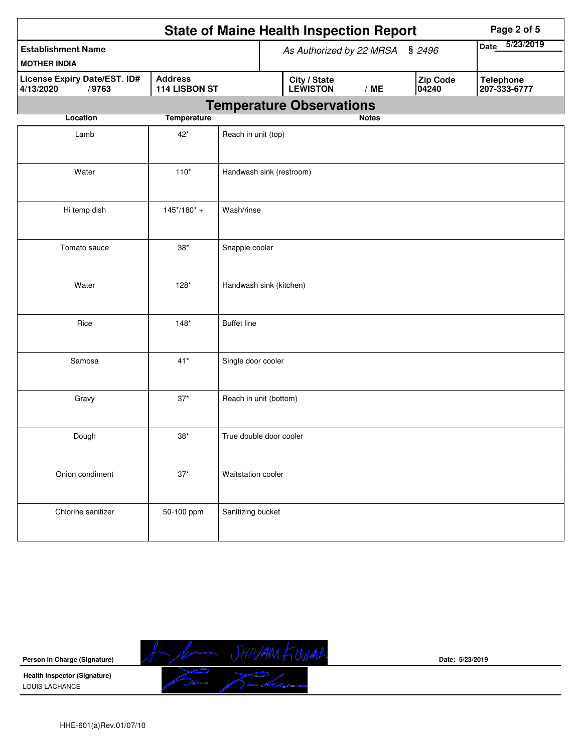|                                                    |                                 | <b>State of Maine Health Inspection Report</b><br>Page 2 of 5                                   |
|----------------------------------------------------|---------------------------------|-------------------------------------------------------------------------------------------------|
| <b>Establishment Name</b><br><b>MOTHER INDIA</b>   |                                 | 5/23/2019<br><b>Date</b><br>As Authorized by 22 MRSA § 2496                                     |
| License Expiry Date/EST. ID#<br>/9763<br>4/13/2020 | <b>Address</b><br>114 LISBON ST | <b>Zip Code</b><br><b>Telephone</b><br>City / State<br>LEWISTON<br>/ME<br>04240<br>207-333-6777 |
|                                                    |                                 | <b>Temperature Observations</b>                                                                 |
| Location                                           | <b>Temperature</b>              | <b>Notes</b>                                                                                    |
| Lamb                                               | $42*$                           | Reach in unit (top)                                                                             |
| Water                                              | $110*$                          | Handwash sink (restroom)                                                                        |
| Hi temp dish                                       | $145*/180* +$                   | Wash/rinse                                                                                      |
| Tomato sauce                                       | $38^{\ast}$                     | Snapple cooler                                                                                  |
| Water                                              | $128*$                          | Handwash sink (kitchen)                                                                         |
| Rice                                               | $148*$                          | <b>Buffet line</b>                                                                              |
| Samosa                                             | $41*$                           | Single door cooler                                                                              |
| Gravy                                              | $37*$                           | Reach in unit (bottom)                                                                          |
| Dough                                              | $38*$                           | True double door cooler                                                                         |
| Onion condiment                                    | $37^{\star}$                    | Waitstation cooler                                                                              |
| Chlorine sanitizer                                 | 50-100 ppm                      | Sanitizing bucket                                                                               |



**Date: 5/23/2019**

HHE-601(a)Rev.01/07/10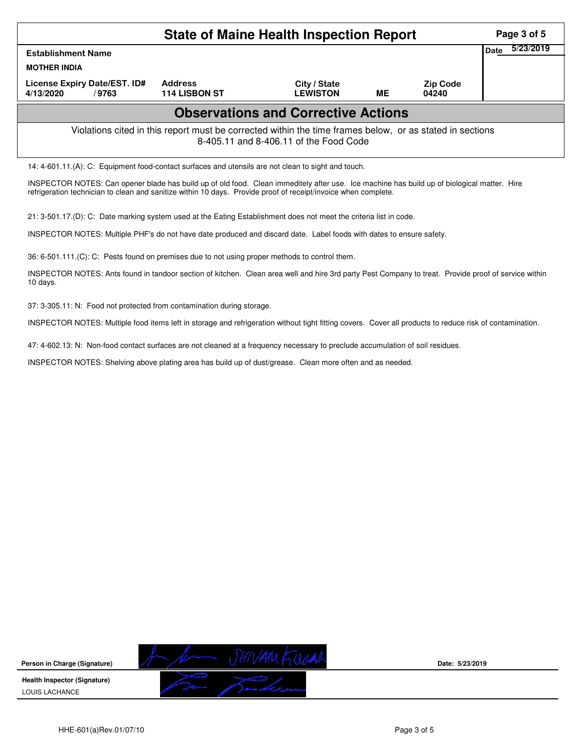|                                                                                                                                                    | Page 3 of 5                            |                                 |           |                          |                   |  |  |  |
|----------------------------------------------------------------------------------------------------------------------------------------------------|----------------------------------------|---------------------------------|-----------|--------------------------|-------------------|--|--|--|
| <b>Establishment Name</b>                                                                                                                          |                                        |                                 |           |                          | 5/23/2019<br>Date |  |  |  |
| <b>MOTHER INDIA</b>                                                                                                                                |                                        |                                 |           |                          |                   |  |  |  |
| License Expiry Date/EST. ID#<br>4/13/2020<br>/9763                                                                                                 | <b>Address</b><br><b>114 LISBON ST</b> | City / State<br><b>LEWISTON</b> | <b>ME</b> | <b>Zip Code</b><br>04240 |                   |  |  |  |
| <b>Observations and Corrective Actions</b>                                                                                                         |                                        |                                 |           |                          |                   |  |  |  |
| Violations cited in this report must be corrected within the time frames below, or as stated in sections<br>8-405.11 and 8-406.11 of the Food Code |                                        |                                 |           |                          |                   |  |  |  |
| 14: 4-601.11.(A): C: Equipment food-contact surfaces and utensils are not clean to sight and touch.                                                |                                        |                                 |           |                          |                   |  |  |  |

INSPECTOR NOTES: Can opener blade has build up of old food. Clean immeditely after use. Ice machine has build up of biological matter. Hire refrigeration technician to clean and sanitize within 10 days. Provide proof of receipt/invoice when complete.

21: 3-501.17.(D): C: Date marking system used at the Eating Establishment does not meet the criteria list in code.

INSPECTOR NOTES: Multiple PHF's do not have date produced and discard date. Label foods with dates to ensure safety.

36: 6-501.111.(C): C: Pests found on premises due to not using proper methods to control them.

INSPECTOR NOTES: Ants found in tandoor section of kitchen. Clean area well and hire 3rd party Pest Company to treat. Provide proof of service within 10 days.

37: 3-305.11: N: Food not protected from contamination during storage.

INSPECTOR NOTES: Multiple food items left in storage and refrigeration without tight fitting covers. Cover all products to reduce risk of contamination.

47: 4-602.13: N: Non-food contact surfaces are not cleaned at a frequency necessary to preclude accumulation of soil residues.

INSPECTOR NOTES: Shelving above plating area has build up of dust/grease. Clean more often and as needed.

**Person in Charge (Signature) Health Inspector (Signature)**  LOUIS LACHANCE



**Date: 5/23/2019**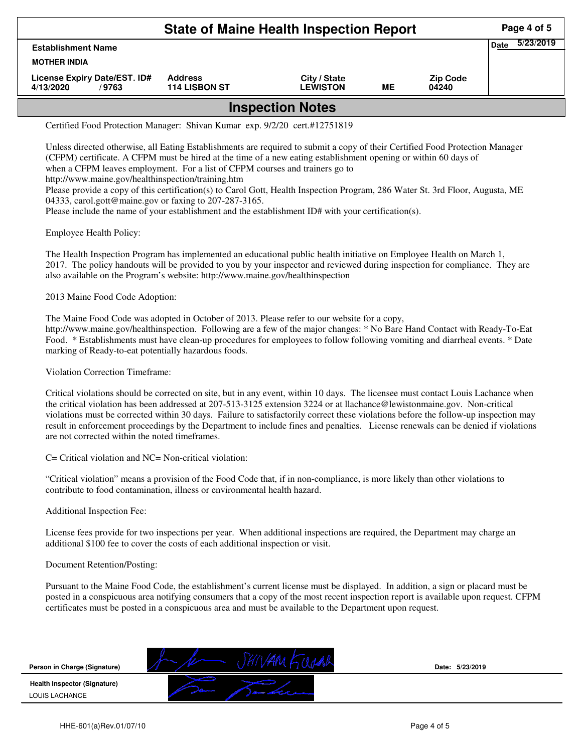|                                                    | Page 4 of 5                            |                                 |    |                          |                          |  |  |
|----------------------------------------------------|----------------------------------------|---------------------------------|----|--------------------------|--------------------------|--|--|
| <b>Establishment Name</b><br><b>MOTHER INDIA</b>   |                                        |                                 |    |                          | 5/23/2019<br><b>Date</b> |  |  |
| License Expiry Date/EST. ID#<br>4/13/2020<br>/9763 | <b>Address</b><br><b>114 LISBON ST</b> | City / State<br><b>LEWISTON</b> | ME | <b>Zip Code</b><br>04240 |                          |  |  |
| <b>Inspection Notes</b>                            |                                        |                                 |    |                          |                          |  |  |

Certified Food Protection Manager: Shivan Kumar exp. 9/2/20 cert.#12751819

Unless directed otherwise, all Eating Establishments are required to submit a copy of their Certified Food Protection Manager (CFPM) certificate. A CFPM must be hired at the time of a new eating establishment opening or within 60 days of when a CFPM leaves employment. For a list of CFPM courses and trainers go to http://www.maine.gov/healthinspection/training.htm Please provide a copy of this certification(s) to Carol Gott, Health Inspection Program, 286 Water St. 3rd Floor, Augusta, ME 04333, carol.gott@maine.gov or faxing to 207-287-3165.

Please include the name of your establishment and the establishment ID# with your certification(s).

Employee Health Policy:

The Health Inspection Program has implemented an educational public health initiative on Employee Health on March 1, 2017. The policy handouts will be provided to you by your inspector and reviewed during inspection for compliance. They are also available on the Program's website: http://www.maine.gov/healthinspection

2013 Maine Food Code Adoption:

The Maine Food Code was adopted in October of 2013. Please refer to our website for a copy, http://www.maine.gov/healthinspection. Following are a few of the major changes: \* No Bare Hand Contact with Ready-To-Eat Food. \* Establishments must have clean-up procedures for employees to follow following vomiting and diarrheal events. \* Date marking of Ready-to-eat potentially hazardous foods.

Violation Correction Timeframe:

Critical violations should be corrected on site, but in any event, within 10 days. The licensee must contact Louis Lachance when the critical violation has been addressed at 207-513-3125 extension 3224 or at llachance@lewistonmaine.gov. Non-critical violations must be corrected within 30 days. Failure to satisfactorily correct these violations before the follow-up inspection may result in enforcement proceedings by the Department to include fines and penalties. License renewals can be denied if violations are not corrected within the noted timeframes.

C= Critical violation and NC= Non-critical violation:

"Critical violation" means a provision of the Food Code that, if in non-compliance, is more likely than other violations to contribute to food contamination, illness or environmental health hazard.

Additional Inspection Fee:

License fees provide for two inspections per year. When additional inspections are required, the Department may charge an additional \$100 fee to cover the costs of each additional inspection or visit.

## Document Retention/Posting:

Pursuant to the Maine Food Code, the establishment's current license must be displayed. In addition, a sign or placard must be posted in a conspicuous area notifying consumers that a copy of the most recent inspection report is available upon request. CFPM certificates must be posted in a conspicuous area and must be available to the Department upon request.